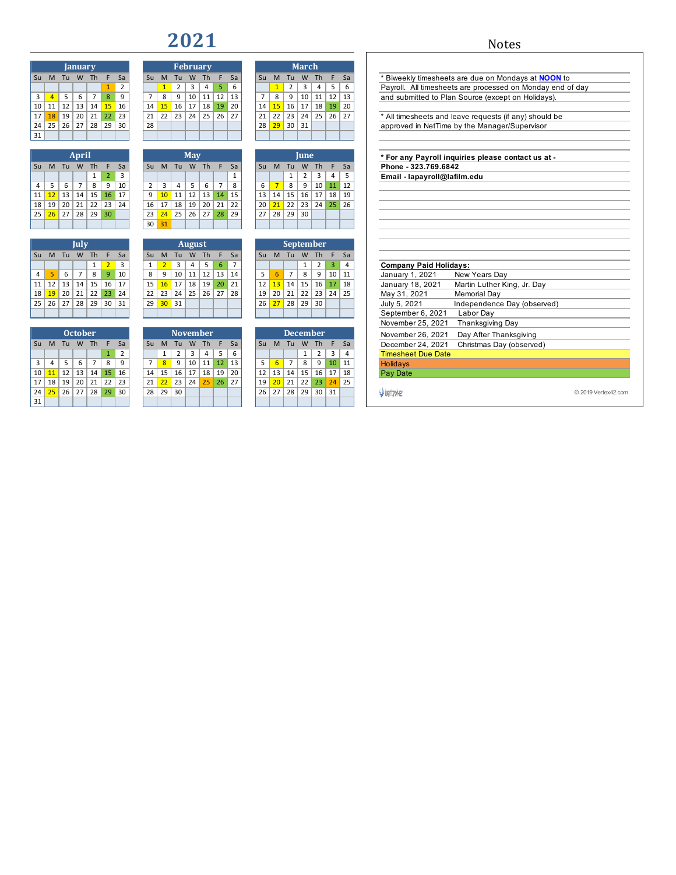## 

|    |                |    | <b>January</b> |                |              |                |
|----|----------------|----|----------------|----------------|--------------|----------------|
| Su | M              | Tu | W              | Th             | F            | Sa             |
|    |                |    |                |                | $\mathbf{1}$ | $\overline{2}$ |
| 3  | $\overline{A}$ | 5  | 6              | $\overline{7}$ | 8            | 9              |
| 10 | 11             | 12 | 13             | 14             | 15           | 16             |
| 17 | 18             | 19 | 20             | 21             | 22           | 23             |
| 24 | 25             | 26 | 27             | 28             | 29           | 30             |
| 31 |                |    |                |                |              |                |
|    |                |    |                |                |              |                |

|    |    |    | April          |    |                |    |
|----|----|----|----------------|----|----------------|----|
| Su | M  | Tu | W              | Th | F              | Sa |
|    |    |    |                | 1  | $\overline{2}$ | 3  |
| 4  | 5  | 6  | $\overline{7}$ | 8  | 9              | 10 |
| 11 | 12 | 13 | 14             | 15 | 16             | 17 |
| 18 | 19 | 20 | 21             | 22 | 23             | 24 |
| 25 | 26 | 27 | 28             | 29 | 30             |    |
|    |    |    |                |    |                |    |

|    |    |    | July           |    |                |    |
|----|----|----|----------------|----|----------------|----|
| Su | M  | Tu | W              | Th | F              | Sa |
|    |    |    |                | 1  | $\overline{2}$ | 3  |
| 4  | 5  | 6  | $\overline{7}$ | 8  | 9              | 10 |
| 11 | 12 | 13 | 14             | 15 | 16             | 17 |
| 18 | 19 | 20 | 21             | 22 | 23             | 24 |
| 25 | 26 | 27 | 28             | 29 | 30             | 31 |
|    |    |    |                |    |                |    |

|    |                |    | <b>October</b> |    |    |                |
|----|----------------|----|----------------|----|----|----------------|
| Su | M              | Tu | W              | Th | F  | Sa             |
|    |                |    |                |    | 1  | $\overline{2}$ |
| 3  | $\overline{4}$ | 5  | 6              | 7  | 8  | 9              |
| 10 | 11             | 12 | 13             | 14 | 15 | 16             |
| 17 | 18             | 19 | 20             | 21 | 22 | 23             |
| 24 | 25             | 26 | 27             | 28 | 29 | 30             |
| 31 |                |    |                |    |    |                |

|    |    |    |         |    |    |                |    |    |    | ___             |    |    |    |    |    |    |       |    |    |    |
|----|----|----|---------|----|----|----------------|----|----|----|-----------------|----|----|----|----|----|----|-------|----|----|----|
|    |    |    |         |    |    |                |    |    |    |                 |    |    |    |    |    |    |       |    |    |    |
|    |    |    | January |    |    |                |    |    |    | <b>February</b> |    |    |    |    |    |    | March |    |    |    |
| Su | M  | Тu | W       | Th |    | Sa             | Su | M  | Τп | w               | Th | F  | Sa | Su | м  | Tu | W     | Th | F  | Sa |
|    |    |    |         |    | 1  | $\overline{2}$ |    |    | 2  | ੨               | 4  | 5  | 6  |    |    | 2  | 3     |    | 5  | 6  |
| 3  | 4  | 5  | 6       | 7  | 8  | 9              |    | 8  | 9  | 10              | 11 | 12 | 13 | 7  | 8  | 9  | 10    | 11 | 12 | 13 |
| 10 | 11 | 12 | 13      | 14 | 15 | 16             | 14 | 15 | 16 | 17              | 18 | 19 | 20 | 14 | 15 | 16 | 17    | 18 | 19 | 20 |
| 17 | 18 | 19 | 20      | 21 | 22 | 23             | 21 | 22 | 23 | 24              | 25 | 26 | 27 | 21 | 22 | 23 | 24    | 25 | 26 | 27 |
| 24 | 25 | 26 | 27      | 28 | 29 | 30             | 28 |    |    |                 |    |    |    | 28 | 29 | 30 | 31    |    |    |    |
| 31 |    |    |         |    |    |                |    |    |    |                 |    |    |    |    |    |    |       |    |    |    |

|    |    |    | <b>April</b> |    |    |    |    |    |    | May |    |    |    |    |    |    | June           |  |
|----|----|----|--------------|----|----|----|----|----|----|-----|----|----|----|----|----|----|----------------|--|
| Su | M  | Tu | W            | Th |    | Sa | Su | M  | Tu | W   | Th |    | Sa | Su | M  | Tu | W              |  |
|    |    |    |              |    |    | 3  |    |    |    |     |    |    | 1  |    |    |    | $\overline{2}$ |  |
| 4  | 5  | 6  | 7            | 8  | 9  | 10 |    | 3  | 4  | 5   | 6  |    | 8  | 6  |    | 8  | 9              |  |
| 11 | 12 | 13 | 14           | 15 | 16 | 17 | 9  | 10 | 11 | 12  | 13 | 14 | 15 | 13 | 14 | 15 | 16             |  |
| 18 | 19 | 20 | 21           | 22 | 23 | 24 | 16 | 17 | 18 | 19  | 20 | 21 | 22 | 20 | 21 | 22 | 23             |  |
| 25 | 26 | 27 | 28           | 29 | 30 |    | 23 | 24 | 25 | 26  | 27 | 28 | 29 | 27 | 28 | 29 | 30             |  |
|    |    |    |              |    |    |    | 30 | 31 |    |     |    |    |    |    |    |    |                |  |

|                               |    |              |           |    | <b>September</b> |    |           |    |    |           | <b>August</b> |    |                 |     |            |       |    | July            |    |         |                |
|-------------------------------|----|--------------|-----------|----|------------------|----|-----------|----|----|-----------|---------------|----|-----------------|-----|------------|-------|----|-----------------|----|---------|----------------|
|                               | Sa | F            | <b>Th</b> | W  | - Tu             | M  | <b>Su</b> | Sa |    | <b>Th</b> | W             | Тu | M               | Su  | Sa         |       | Th | W               | Tu | Su M    |                |
| <b>Company Paid Holidays:</b> | 4  | $\mathbf{3}$ | 2         |    |                  |    |           |    |    |           | 4             |    |                 |     |            |       | 1  |                 |    |         |                |
| January 1, 2021<br><b>New</b> | 11 | 10           | 9         | 8  |                  |    |           | 14 | 13 | 12        | 11            | 10 | 9               | 8   | 10         | -9    | 8  |                 | 6  |         | 4 <sup>1</sup> |
| Mart<br>January 18, 2021      | 18 | 17           | 16        | 15 | 14               | 13 | 12        | 21 | 20 | 19        | 18            | 17 | 16              | 15  |            | 16 17 | 15 | 14              | 13 | 11   12 |                |
| Men<br>May 31, 2021           | 25 | 24           | 23        | 22 | 21               | 20 | 19        | 28 | 27 | 26        | 25            | 24 | 23              | 22. | 24         | 23'   | 22 | 21 <sub>1</sub> | 20 | 18 19   |                |
| Inde<br>July 5, 2021          |    |              | 30        | 29 | 28               | 27 | 26        |    |    |           |               | 31 | 30 <sup>°</sup> | 29  | $\vert$ 31 | 30    | 29 | 28              | 27 | 25 26   |                |
| Lat<br>September 6, 2021      |    |              |           |    |                  |    |           |    |    |           |               |    |                 |     |            |       |    |                 |    |         |                |
|                               |    |              |           |    |                  |    |           |    |    |           |               |    |                 |     |            |       |    |                 |    |         |                |

|    |    |    | <b>October</b> |    |    |               |    |    | <b>November</b> |    |    |    |    |    |    | <b>December</b> |    |    |    |     |
|----|----|----|----------------|----|----|---------------|----|----|-----------------|----|----|----|----|----|----|-----------------|----|----|----|-----|
| Su | M  | ш  | w              | Τh |    | Sa            | Su | M  | Τп              | w  | Th |    | Sa | Su |    | Τū              | w  | Th |    | -Sa |
|    |    |    |                |    |    | $\mathcal{D}$ |    |    |                 |    | 4  |    | 6  |    |    |                 |    |    | 3  | 4   |
| 3  |    |    | b              |    | 8  | 9             |    | 8  | 9               | 10 | 11 | 12 | 13 |    |    |                 | 8  | q  | 10 | 11  |
| 10 | 11 | 12 | 13             | 14 | 15 | 16            | 14 | 15 | 16              | 17 | 18 | 19 | 20 | 12 | 13 | 14              | 15 | 16 | 17 | 18  |
| 17 | 18 | 19 | 20             | 21 | 22 | 23            | 21 | 22 | 23              | 24 | 25 | 26 | 27 | 19 | 20 | 21              | 22 | 23 | 24 | 25  |
| 24 | 25 | 26 | 27             | 28 | 29 | 30            | 28 | 29 | 30              |    |    |    |    | 26 |    | 28              | 29 | 30 | 31 |     |
| 31 |    |    |                |    |    |               |    |    |                 |    |    |    |    |    |    |                 |    |    |    |     |

| 17 <sup>1</sup> | 18   | 19 | 20          | 21 | 22 | 23 | 21 | 22 | 23 | 24         | 25        | 26 | 27 | 21        | 22              | 23 | 24                       | 25        | 26 27 |    |  |  | * All timesheets and lea |  |
|-----------------|------|----|-------------|----|----|----|----|----|----|------------|-----------|----|----|-----------|-----------------|----|--------------------------|-----------|-------|----|--|--|--------------------------|--|
| 24              | 25   | 26 | 27          | 28 | 29 | 30 | 28 |    |    |            |           |    |    | 28        | 29              | 30 | 31                       |           |       |    |  |  | approved in NetTime b    |  |
| 31              |      |    |             |    |    |    |    |    |    |            |           |    |    |           |                 |    |                          |           |       |    |  |  |                          |  |
|                 |      |    |             |    |    |    |    |    |    |            |           |    |    |           |                 |    |                          |           |       |    |  |  |                          |  |
|                 |      |    | April       |    |    |    |    |    |    | <b>May</b> |           |    |    |           |                 |    | <b>June</b>              |           |       |    |  |  | * For any Payroll inqu   |  |
|                 | Su M | Tu | W           | Th | F  | Sa | Su | M  | Tu | W          | <b>Th</b> | F  | Sa | <b>Su</b> | M               | Tu | W                        | <b>Th</b> | F     | Sa |  |  | Phone - 323.769.6842     |  |
|                 |      |    |             | 1  | 2  | 3  |    |    |    |            |           |    |    |           |                 |    |                          | 3         | 4     |    |  |  | Email - lapayroll@lafi   |  |
| 4               | 5    | 6  | 7           | 8  | 9  | 10 | 2  | 3  | 4  | 5.         | 6         | 7  | 8  | 6         |                 | 8  | 9                        | 10        | 11    | 12 |  |  |                          |  |
| 11              | 12   | 13 | 14          | 15 | 16 | 17 | 9  | 10 | 11 | 12         | 13        | 14 | 15 | 13        | 14              | 15 | 16                       | 17        | 18    | 19 |  |  |                          |  |
| 18 I            | 19   | 20 | 21          | 22 | 23 | 24 | 16 | 17 | 18 | 19         | 20        | 21 | 22 | 20        | 21              | 22 | 23                       | 24        | 25    | 26 |  |  |                          |  |
| 25              | 26   | 27 | 28          | 29 | 30 |    | 23 | 24 | 25 | 26         | 27        | 28 | 29 | 27        | 28 <sup>1</sup> | 29 | 30                       |           |       |    |  |  |                          |  |
|                 |      |    |             |    |    |    | 30 | 31 |    |            |           |    |    |           |                 |    |                          |           |       |    |  |  |                          |  |
|                 |      |    |             |    |    |    |    |    |    |            |           |    |    |           |                 |    |                          |           |       |    |  |  |                          |  |
|                 |      |    | $T = T - T$ |    |    |    |    |    |    | Account of |           |    |    |           |                 |    | Construction In the U.S. |           |       |    |  |  |                          |  |

|    |    |                |   | September        |                   |    |
|----|----|----------------|---|------------------|-------------------|----|
| Su | M  | Tu             |   | W Th             | $\oplus$          | Sa |
|    |    |                | 1 | $\overline{2}$   | 3                 | 4  |
| 5  | 6  | $\overline{7}$ | 8 | 9                | 10                | 11 |
| 12 |    |                |   | $13$ 14 15 16 17 |                   | 18 |
| 19 | 20 | 21             |   |                  | 22   23   24   25 |    |
| 26 | 27 | 28 29          |   | 30               |                   |    |
|    |    |                |   |                  |                   |    |

|                 |    |                 | <b>October</b> |    |    |           |    |              | <b>November</b> |    |           |    |    |    |    | <b>December</b> |    |           |                 |                |  |
|-----------------|----|-----------------|----------------|----|----|-----------|----|--------------|-----------------|----|-----------|----|----|----|----|-----------------|----|-----------|-----------------|----------------|--|
| Su M            |    | Tu              | W              | Th | Æ  | <b>Sa</b> | Su | M            | Tu              | W  | <b>Th</b> | F  | Sa | Su | M  | Tu              | W  | <b>Th</b> |                 | Sa             |  |
|                 |    |                 |                |    |    |           |    |              |                 | 3  | 4         | 5. | 6  |    |    |                 |    |           |                 | $\overline{a}$ |  |
| 3               | 4  |                 | 6              |    | 8  | $\alpha$  |    | $\mathbf{R}$ | q               | 10 | 11        | 12 | 13 |    |    |                 | 8  | 9         | 10              | 11             |  |
| 10 <sup>1</sup> |    | 12              | 13             | 14 | 15 | 16        | 14 | 15           | 16              | 17 | 18        | 19 | 20 | 12 | 13 | 14              | 15 | 16        | 17 <sup>1</sup> | 18             |  |
| 17 <sup>1</sup> | 18 | 19              | 20             | 21 | 22 | 23        | 21 | 22           | 23              | 24 | 25        | 26 | 27 | 19 | 20 | 21              | 22 | 23        | 24              | 25             |  |
| 24              | 25 | 26 <sup>1</sup> | 27             | 28 | 29 | 30        | 28 | 29           | 30              |    |           |    |    | 26 | 27 | 28              | 29 | 30        | 31              |                |  |
| 31              |    |                 |                |    |    |           |    |              |                 |    |           |    |    |    |    |                 |    |           |                 |                |  |

|    |                |               | Su M Tu W Th   |                | F              | Sa             | Su | M              | Tu             | W             | Th              | F              | Sa             | Su | M               | Tu             | W               | Th             | F.              | Sa             | Biweekly timesheets are due on Mondays at NOON to          |
|----|----------------|---------------|----------------|----------------|----------------|----------------|----|----------------|----------------|---------------|-----------------|----------------|----------------|----|-----------------|----------------|-----------------|----------------|-----------------|----------------|------------------------------------------------------------|
|    |                |               |                |                |                | $\overline{2}$ |    |                | $\overline{2}$ | 3             | 4               | 5              | 6              |    |                 | $\overline{2}$ | 3               | 4              | 5               | 6              | Payroll. All timesheets are processed on Monday end of day |
| 3  | $\overline{4}$ | 5             | 6              | $\overline{7}$ | 8              | 9              | 7  | 8              | 9              | 10            | 11              | 12             | 13             | 7  | 8               | 9              | 10              | 11             | 12              | 13             | and submitted to Plan Source (except on Holidays).         |
| 10 | 11             | 12            | 13             | 14             | 15             | 16             | 14 | 15             | $\vert$ 16     | $\vert$ 17    | 18              | 19             | 20             | 14 | 15              | $\vert$ 16     | 17              | 18             | 19              | 20             |                                                            |
| 17 | 18             | $\vert$ 19    | 20             | 21             | 22             | 23             | 21 |                | $22 \mid 23$   | $\sqrt{24}$   | 25              | 26             | 27             | 21 | 22              | 23             | 24              | 25             | 26 27           |                | All timesheets and leave requests (if any) should be       |
| 24 | $25$ 26        |               | 27             | 28             | $29$ 30        |                | 28 |                |                |               |                 |                |                | 28 | $29$ 30         |                | 31              |                |                 |                | approved in NetTime by the Manager/Supervisor              |
| 31 |                |               |                |                |                |                |    |                |                |               |                 |                |                |    |                 |                |                 |                |                 |                |                                                            |
|    |                |               |                |                |                |                |    |                |                |               |                 |                |                |    |                 |                |                 |                |                 |                |                                                            |
|    |                |               | <b>April</b>   |                |                |                |    |                |                | <b>May</b>    |                 |                |                |    |                 |                | <b>Iune</b>     |                |                 |                | For any Payroll inquiries please contact us at -           |
|    |                |               | Su M Tu W Th   |                | F              | Sa             | Su | M              | Tu W Th        |               |                 | F.             | Sa             | Su | M               | Tu'            | W               | Th             | F.              | Sa             | Phone - 323.769.6842                                       |
|    |                |               |                | 1              | $\overline{2}$ | 3              |    |                |                |               |                 |                | 1              |    |                 | 1              | 2               | 3              | 4               | 5              | Email - lapayroll@lafilm.edu                               |
| 4  | 5              | 6             |                | 8              | 9              | 10             | 2  | 3              | 4              | 5             | 6               | $\overline{7}$ | 8              | 6  | $\overline{7}$  | 8              | 9               | 10             | 11              | 12             |                                                            |
| 11 | $12$ 13        |               | 14             | 15             | 16             | 17             | 9  |                | $10$   11      | 12            | 13              | 14             | 15             | 13 | 14              | 15             | 16              | 17             | 18 <sup>1</sup> | 19             |                                                            |
| 18 | 19             | 20            | 21             | 22             | $23$ 24        |                | 16 | 17             | 18             | 19            | 20              | 21             | 22             | 20 | $21$ 22         |                | 23              | 24             | 25              | 26             |                                                            |
| 25 | $\sqrt{26}$ 27 |               | 28             | 29             | 30             |                | 23 |                | $24$ 25        | 26 27         |                 | 28             | 29             | 27 | 28              | 29             | 30              |                |                 |                |                                                            |
|    |                |               |                |                |                |                | 30 | 31             |                |               |                 |                |                |    |                 |                |                 |                |                 |                |                                                            |
|    |                |               |                |                |                |                |    |                |                |               |                 |                |                |    |                 |                |                 |                |                 |                |                                                            |
|    |                |               | July           |                |                |                |    |                |                | <b>August</b> |                 |                |                |    |                 |                | September       |                |                 |                |                                                            |
|    | Su M Tu        |               | W              | Th             | F              | Sa             | Su | M              | Tu             | W             | Th              | F.             | Sa             | Su | M               | Tu             | W               | Th             | F               | Sa             |                                                            |
|    |                |               |                | 1              | $\overline{2}$ | 3              | 1  | $\overline{2}$ | 3              | 4             | 5               | $6\phantom{1}$ | $\overline{7}$ |    |                 |                | 1               | $\overline{2}$ | 3               | 4              | <b>Company Paid Holidays:</b>                              |
| 4  | 5              | 6             | $\overline{7}$ | 8              | 9              | 10             | 8  | 9              | $\vert$ 10     | $11$ 12       |                 | 13             | 14             | 5  | 6               | $\overline{7}$ | 8               | 9              | 10 <sup>1</sup> | 11             | January 1, 2021<br>New Years Dav                           |
| 11 | 12             | 13            | 14             | 15             | 16             | 17             | 15 | 16             | $\vert$ 17     | 18            | 19              | 20             | 21             | 12 | $13$ 14         |                | 15              | 16             | 17              | 18             | January 18, 2021<br>Martin Luther King, Jr. Day            |
| 18 | $19$ 20        |               | 21             | 22             | 23             | 24             | 22 |                | $23 \mid 24$   | 25            | 26              | 27             | 28             | 19 | 20              | 21             | 22              | 23             | 24              | 25             | Memorial Day<br>May 31, 2021                               |
| 25 | 26             | 27            | 28             | 29             | 30             | 31             | 29 |                | $30$ 31        |               |                 |                |                | 26 | 27              | 28             | 29              | 30             |                 |                | Independence Day (observed)<br>July 5, 2021                |
|    |                |               |                |                |                |                |    |                |                |               |                 |                |                |    |                 |                |                 |                |                 |                | September 6, 2021<br>Labor Day                             |
|    |                |               |                |                |                |                |    |                |                |               |                 |                |                |    |                 |                |                 |                |                 |                | November 25, 2021<br><b>Thanksgiving Day</b>               |
|    |                |               | <b>October</b> |                |                |                |    |                |                |               | November        |                |                |    |                 |                | <b>December</b> |                |                 |                | November 26, 2021<br>Day After Thanksgiving                |
|    |                |               | Su M Tu W Th   |                | F              | Sa             | Su | M              | Tu             | W             | Th              | F.             | Sa             |    | Su M            | Tu             | W               | Th             | F               | Sa             | December 24, 2021<br>Christmas Day (observed)              |
|    |                |               |                |                | 1              | $\overline{2}$ |    | $\mathbf{1}$   | $\overline{2}$ | 3             | $\overline{4}$  | 5              | 6              |    |                 |                | 1               | $\overline{2}$ | 3               | $\overline{4}$ | <b>Timesheet Due Date</b>                                  |
| 3  | 4              | 5             | 6              | $\overline{7}$ | 8              | 9              | 7  | $\overline{8}$ | 9              | 10            | 11              | 12             | 13             | 5  | $6\overline{6}$ | $\overline{7}$ | 8               | 9              | 10              | 11             | Holidays                                                   |
| 10 | $11$ 12        |               | 13             | 14             | 15             | 16             | 14 | 15             | $\vert$ 16     | <b>17</b>     | $\overline{18}$ | 19             | 20             | 12 | 13              | 14             | 15              | 16             | 17              | 18             | Pay Date                                                   |
| 17 | 18             | <sup>19</sup> | 20             | 21             | 22             | 23             | 21 | 22             | 23             | 24            | 25              | 26             | 27             | 19 | 20              | 21             | 22              | 23             | 24              | 25             |                                                            |
|    | 24 25 26       |               | 27             | 28             | 29             | 30             | 28 |                | $29$ 30        |               |                 |                |                | 26 | 27              | 28             | 29              | 30 31          |                 |                | W UPTTPX42<br>© 2019 Vertex42.com                          |
|    |                |               |                |                |                |                |    |                |                |               |                 |                |                |    |                 |                |                 |                |                 |                |                                                            |

## Notes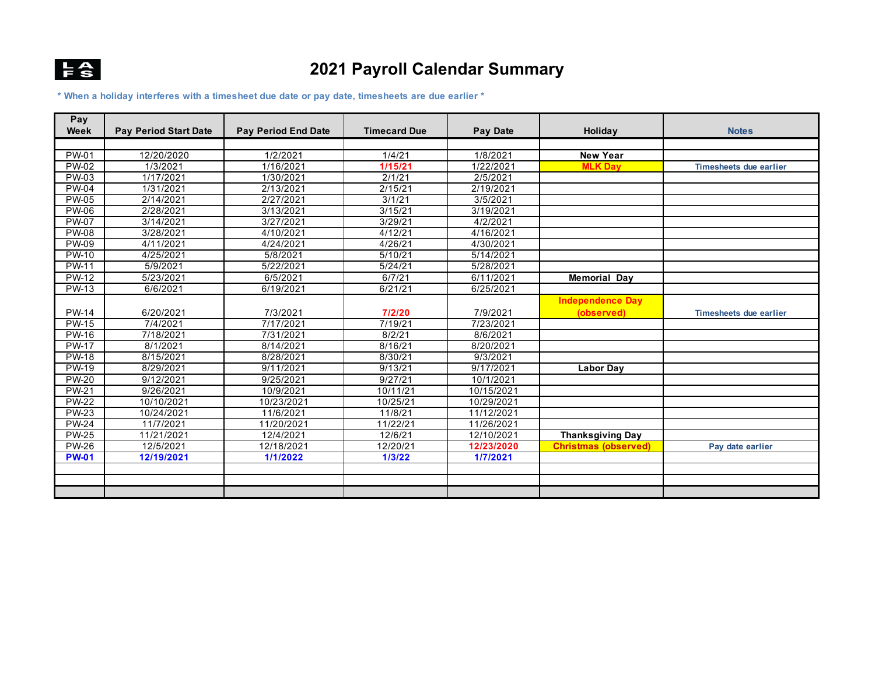

## **2021 Payroll Calendar Summary**

**\* When a holiday interferes with a timesheet due date or pay date, timesheets are due earlier \***

| Pay<br>Week  | <b>Pay Period Start Date</b> | <b>Pay Period End Date</b> | <b>Timecard Due</b> | Pay Date   | Holiday                     | <b>Notes</b>                  |
|--------------|------------------------------|----------------------------|---------------------|------------|-----------------------------|-------------------------------|
|              |                              |                            |                     |            |                             |                               |
| <b>PW-01</b> | 12/20/2020                   | 1/2/2021                   | 1/4/21              | 1/8/2021   | <b>New Year</b>             |                               |
| PW-02        | 1/3/2021                     | 1/16/2021                  | 1/15/21             | 1/22/2021  | <b>MLK Dav</b>              | <b>Timesheets due earlier</b> |
| PW-03        | 1/17/2021                    | 1/30/2021                  | 2/1/21              | 2/5/2021   |                             |                               |
| <b>PW-04</b> | 1/31/2021                    | 2/13/2021                  | 2/15/21             | 2/19/2021  |                             |                               |
| <b>PW-05</b> | 2/14/2021                    | 2/27/2021                  | 3/1/21              | 3/5/2021   |                             |                               |
| <b>PW-06</b> | 2/28/2021                    | 3/13/2021                  | 3/15/21             | 3/19/2021  |                             |                               |
| <b>PW-07</b> | 3/14/2021                    | 3/27/2021                  | 3/29/21             | 4/2/2021   |                             |                               |
| <b>PW-08</b> | 3/28/2021                    | 4/10/2021                  | 4/12/21             | 4/16/2021  |                             |                               |
| <b>PW-09</b> | 4/11/2021                    | 4/24/2021                  | 4/26/21             | 4/30/2021  |                             |                               |
| <b>PW-10</b> | 4/25/2021                    | 5/8/2021                   | 5/10/21             | 5/14/2021  |                             |                               |
| <b>PW-11</b> | 5/9/2021                     | 5/22/2021                  | 5/24/21             | 5/28/2021  |                             |                               |
| <b>PW-12</b> | 5/23/2021                    | 6/5/2021                   | 6/7/21              | 6/11/2021  | <b>Memorial Day</b>         |                               |
| <b>PW-13</b> | 6/6/2021                     | 6/19/2021                  | 6/21/21             | 6/25/2021  |                             |                               |
|              |                              |                            |                     |            | <b>Independence Day</b>     |                               |
| <b>PW-14</b> | 6/20/2021                    | 7/3/2021                   | 7/2/20              | 7/9/2021   | (observed)                  | <b>Timesheets due earlier</b> |
| <b>PW-15</b> | 7/4/2021                     | 7/17/2021                  | 7/19/21             | 7/23/2021  |                             |                               |
| <b>PW-16</b> | 7/18/2021                    | 7/31/2021                  | 8/2/21              | 8/6/2021   |                             |                               |
| <b>PW-17</b> | 8/1/2021                     | 8/14/2021                  | 8/16/21             | 8/20/2021  |                             |                               |
| <b>PW-18</b> | 8/15/2021                    | 8/28/2021                  | 8/30/21             | 9/3/2021   |                             |                               |
| <b>PW-19</b> | 8/29/2021                    | 9/11/2021                  | 9/13/21             | 9/17/2021  | <b>Labor Day</b>            |                               |
| <b>PW-20</b> | 9/12/2021                    | 9/25/2021                  | 9/27/21             | 10/1/2021  |                             |                               |
| <b>PW-21</b> | 9/26/2021                    | 10/9/2021                  | 10/11/21            | 10/15/2021 |                             |                               |
| <b>PW-22</b> | 10/10/2021                   | 10/23/2021                 | 10/25/21            | 10/29/2021 |                             |                               |
| <b>PW-23</b> | 10/24/2021                   | 11/6/2021                  | 11/8/21             | 11/12/2021 |                             |                               |
| <b>PW-24</b> | 11/7/2021                    | 11/20/2021                 | 11/22/21            | 11/26/2021 |                             |                               |
| <b>PW-25</b> | 11/21/2021                   | 12/4/2021                  | 12/6/21             | 12/10/2021 | <b>Thanksgiving Day</b>     |                               |
| <b>PW-26</b> | 12/5/2021                    | 12/18/2021                 | 12/20/21            | 12/23/2020 | <b>Christmas (observed)</b> | Pay date earlier              |
| <b>PW-01</b> | 12/19/2021                   | 1/1/2022                   | 1/3/22              | 1/7/2021   |                             |                               |
|              |                              |                            |                     |            |                             |                               |
|              |                              |                            |                     |            |                             |                               |
|              |                              |                            |                     |            |                             |                               |